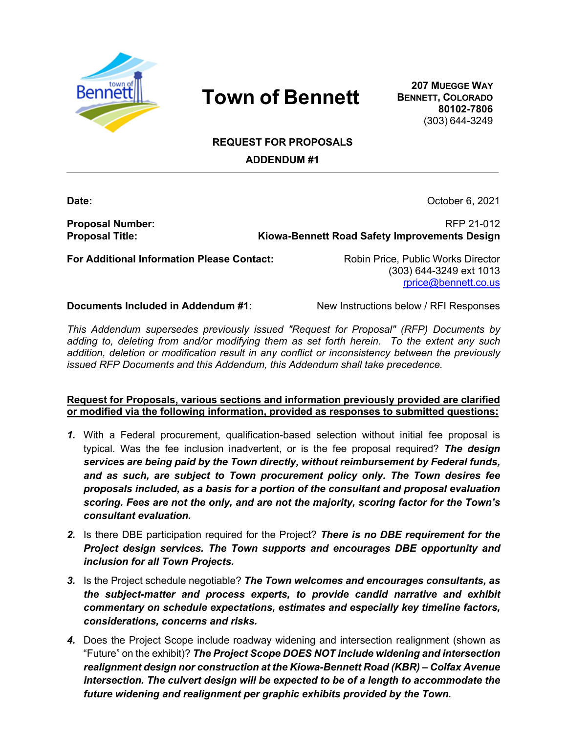

## **Town of Bennett**

**207 MUEGGE WAY BENNETT, COLORADO 80102-7806** (303) 644-3249

## **REQUEST FOR PROPOSALS**

**ADDENDUM #1**

**Date:** October 6, 2021

**Proposal Number:** RFP 21-012 **Proposal Title: Kiowa-Bennett Road Safety Improvements Design**

**For Additional Information Please Contact:** Robin Price, Public Works Director

(303) 644-3249 ext 1013 rprice@bennett.co.us

**Documents Included in Addendum #1:** New Instructions below / RFI Responses

*This Addendum supersedes previously issued "Request for Proposal" (RFP) Documents by adding to, deleting from and/or modifying them as set forth herein. To the extent any such addition, deletion or modification result in any conflict or inconsistency between the previously issued RFP Documents and this Addendum, this Addendum shall take precedence.* 

## **Request for Proposals, various sections and information previously provided are clarified or modified via the following information, provided as responses to submitted questions:**

- *1.* With a Federal procurement, qualification-based selection without initial fee proposal is typical. Was the fee inclusion inadvertent, or is the fee proposal required? *The design services are being paid by the Town directly, without reimbursement by Federal funds, and as such, are subject to Town procurement policy only. The Town desires fee proposals included, as a basis for a portion of the consultant and proposal evaluation scoring. Fees are not the only, and are not the majority, scoring factor for the Town's consultant evaluation.*
- *2.* Is there DBE participation required for the Project? *There is no DBE requirement for the Project design services. The Town supports and encourages DBE opportunity and inclusion for all Town Projects.*
- *3.* Is the Project schedule negotiable? *The Town welcomes and encourages consultants, as the subject-matter and process experts, to provide candid narrative and exhibit commentary on schedule expectations, estimates and especially key timeline factors, considerations, concerns and risks.*
- *4.* Does the Project Scope include roadway widening and intersection realignment (shown as "Future" on the exhibit)? *The Project Scope DOES NOT include widening and intersection realignment design nor construction at the Kiowa-Bennett Road (KBR) – Colfax Avenue intersection. The culvert design will be expected to be of a length to accommodate the future widening and realignment per graphic exhibits provided by the Town.*